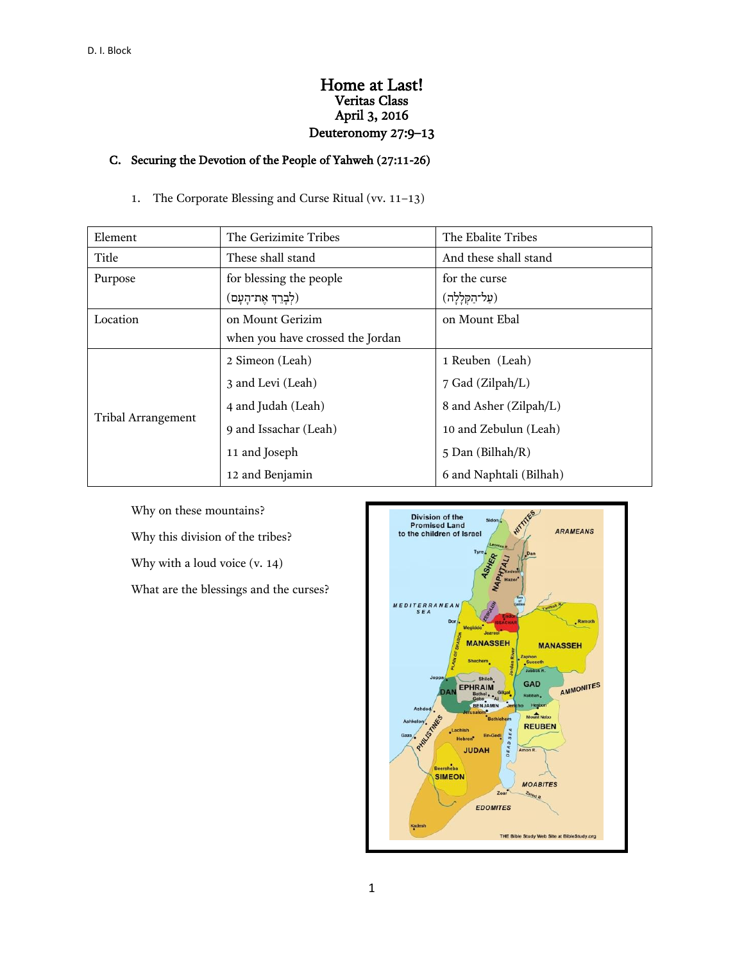## Home at Last! Veritas Class April 3, 2016 Deuteronomy 27:9–13

# C. Securing the Devotion of the People of Yahweh (27:11-26)

1. The Corporate Blessing and Curse Ritual (vv. 11–13)

| Element                   | The Gerizimite Tribes            | The Ebalite Tribes      |  |  |
|---------------------------|----------------------------------|-------------------------|--|--|
| Title                     | These shall stand                | And these shall stand   |  |  |
| Purpose                   | for blessing the people          | for the curse           |  |  |
|                           | (לְבָרֵךְ אֶת־הָעָם)             | (עַל־הַקְלָלָה)         |  |  |
| Location                  | on Mount Gerizim                 | on Mount Ebal           |  |  |
|                           | when you have crossed the Jordan |                         |  |  |
| <b>Tribal Arrangement</b> | 2 Simeon (Leah)                  | 1 Reuben (Leah)         |  |  |
|                           | 3 and Levi (Leah)                | 7 Gad (Zilpah/L)        |  |  |
|                           | 4 and Judah (Leah)               | 8 and Asher (Zilpah/L)  |  |  |
|                           | 9 and Issachar (Leah)            | 10 and Zebulun (Leah)   |  |  |
|                           | 11 and Joseph                    | 5 Dan (Bilhah/R)        |  |  |
|                           | 12 and Benjamin                  | 6 and Naphtali (Bilhah) |  |  |

Why on these mountains? Why this division of the tribes? Why with a loud voice (v. 14) What are the blessings and the curses?

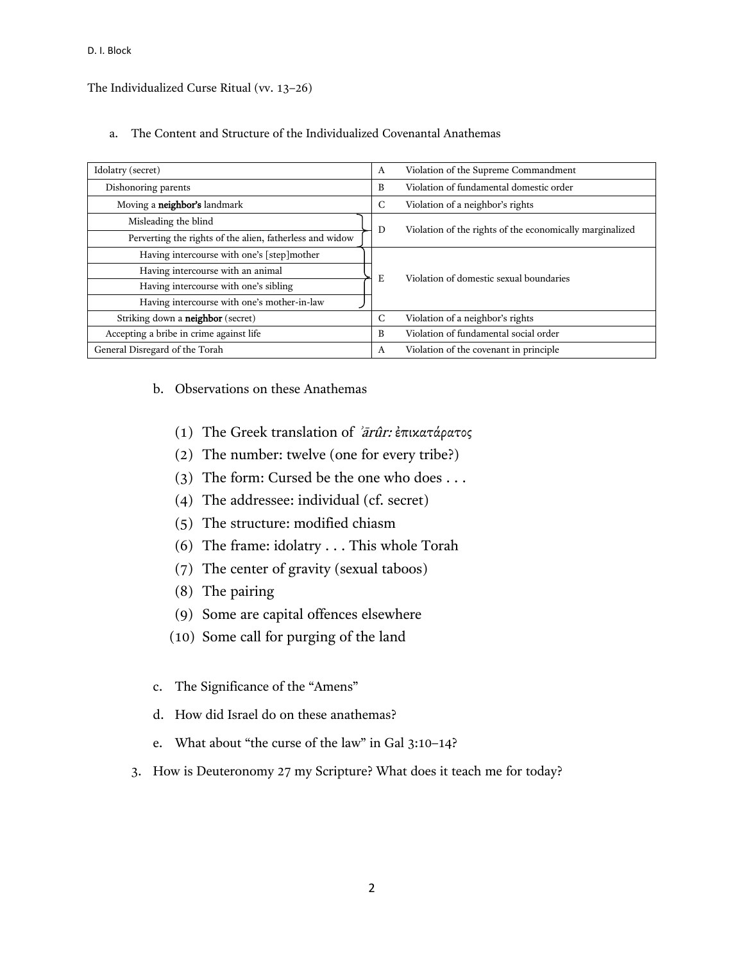D. I. Block

The Individualized Curse Ritual (vv. 13–26)

a. The Content and Structure of the Individualized Covenantal Anathemas

| Idolatry (secret)                                                               |  | Violation of the Supreme Commandment<br>A                |
|---------------------------------------------------------------------------------|--|----------------------------------------------------------|
| Dishonoring parents                                                             |  | Violation of fundamental domestic order<br>B             |
| Moving a neighbor's landmark                                                    |  | Violation of a neighbor's rights<br>C                    |
| Misleading the blind                                                            |  | Violation of the rights of the economically marginalized |
| Perverting the rights of the alien, fatherless and widow                        |  | D                                                        |
| Having intercourse with one's [step]mother<br>Having intercourse with an animal |  |                                                          |
|                                                                                 |  | Violation of domestic sexual boundaries<br>Е             |
| Having intercourse with one's sibling                                           |  |                                                          |
| Having intercourse with one's mother-in-law                                     |  |                                                          |
| Striking down a <b>neighbor</b> (secret)                                        |  | Violation of a neighbor's rights<br>C                    |
| Accepting a bribe in crime against life                                         |  | Violation of fundamental social order<br>B               |
| General Disregard of the Torah                                                  |  | Violation of the covenant in principle<br>A              |

### b. Observations on these Anathemas

- (1) The Greek translation of ʾārûr: ἐπικατάρατος
- (2) The number: twelve (one for every tribe?)
- (3) The form: Cursed be the one who does . . .
- (4) The addressee: individual (cf. secret)
- (5) The structure: modified chiasm
- (6) The frame: idolatry . . . This whole Torah
- (7) The center of gravity (sexual taboos)
- (8) The pairing
- (9) Some are capital offences elsewhere
- (10) Some call for purging of the land
- c. The Significance of the "Amens"
- d. How did Israel do on these anathemas?
- e. What about "the curse of the law" in Gal 3:10–14?
- 3. How is Deuteronomy 27 my Scripture? What does it teach me for today?